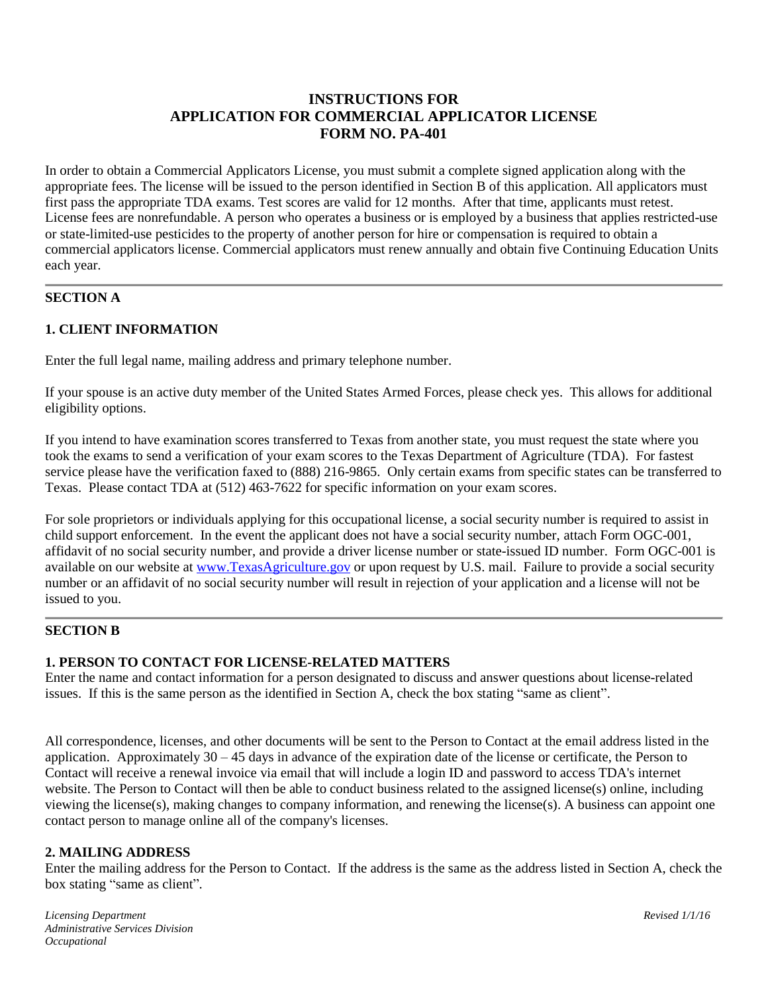# **INSTRUCTIONS FOR APPLICATION FOR COMMERCIAL APPLICATOR LICENSE FORM NO. PA-401**

In order to obtain a Commercial Applicators License, you must submit a complete signed application along with the appropriate fees. The license will be issued to the person identified in Section B of this application. All applicators must first pass the appropriate TDA exams. Test scores are valid for 12 months. After that time, applicants must retest. License fees are nonrefundable. A person who operates a business or is employed by a business that applies restricted-use or state-limited-use pesticides to the property of another person for hire or compensation is required to obtain a commercial applicators license. Commercial applicators must renew annually and obtain five Continuing Education Units each year.

# **SECTION A**

# **1. CLIENT INFORMATION**

Enter the full legal name, mailing address and primary telephone number.

If your spouse is an active duty member of the United States Armed Forces, please check yes. This allows for additional eligibility options.

If you intend to have examination scores transferred to Texas from another state, you must request the state where you took the exams to send a verification of your exam scores to the Texas Department of Agriculture (TDA). For fastest service please have the verification faxed to (888) 216-9865. Only certain exams from specific states can be transferred to Texas. Please contact TDA at (512) 463-7622 for specific information on your exam scores.

For sole proprietors or individuals applying for this occupational license, a social security number is required to assist in child support enforcement. In the event the applicant does not have a social security number, attach Form OGC-001, affidavit of no social security number, and provide a driver license number or state-issued ID number. Form OGC-001 is available on our website at [www.TexasAgriculture.gov](http://www.agr.state.tx.us/) or upon request by U.S. mail. Failure to provide a social security number or an affidavit of no social security number will result in rejection of your application and a license will not be issued to you.

### **SECTION B**

### **1. PERSON TO CONTACT FOR LICENSE-RELATED MATTERS**

Enter the name and contact information for a person designated to discuss and answer questions about license-related issues. If this is the same person as the identified in Section A, check the box stating "same as client".

All correspondence, licenses, and other documents will be sent to the Person to Contact at the email address listed in the application. Approximately 30 – 45 days in advance of the expiration date of the license or certificate, the Person to Contact will receive a renewal invoice via email that will include a login ID and password to access TDA's internet website. The Person to Contact will then be able to conduct business related to the assigned license(s) online, including viewing the license(s), making changes to company information, and renewing the license(s). A business can appoint one contact person to manage online all of the company's licenses.

#### **2. MAILING ADDRESS**

Enter the mailing address for the Person to Contact. If the address is the same as the address listed in Section A, check the box stating "same as client".

*Licensing Department Revised 1/1/16 Administrative Services Division Occupational*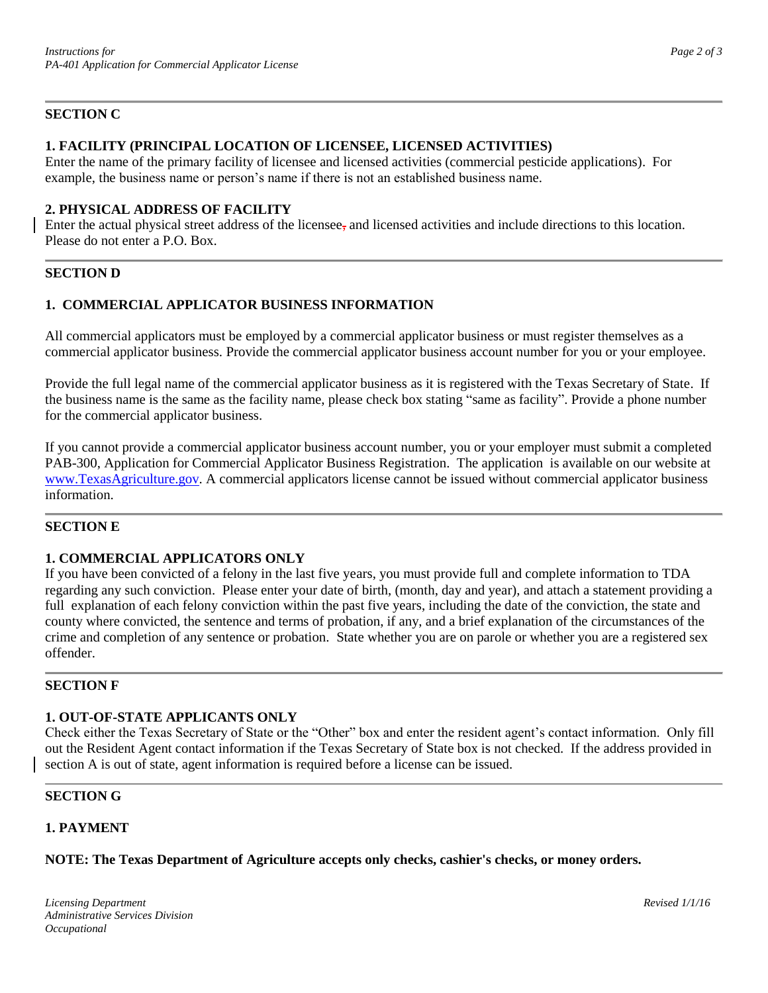# **SECTION C**

# **1. FACILITY (PRINCIPAL LOCATION OF LICENSEE, LICENSED ACTIVITIES)**

Enter the name of the primary facility of licensee and licensed activities (commercial pesticide applications). For example, the business name or person's name if there is not an established business name.

# **2. PHYSICAL ADDRESS OF FACILITY**

Enter the actual physical street address of the licensee, and licensed activities and include directions to this location. Please do not enter a P.O. Box.

#### **SECTION D**

### **1. COMMERCIAL APPLICATOR BUSINESS INFORMATION**

All commercial applicators must be employed by a commercial applicator business or must register themselves as a commercial applicator business. Provide the commercial applicator business account number for you or your employee.

Provide the full legal name of the commercial applicator business as it is registered with the Texas Secretary of State. If the business name is the same as the facility name, please check box stating "same as facility". Provide a phone number for the commercial applicator business.

If you cannot provide a commercial applicator business account number, you or your employer must submit a completed PAB-300, Application for Commercial Applicator Business Registration. The application is available on our website at [www.TexasAgriculture.gov.](http://www.agr.state.tx.us/) A commercial applicators license cannot be issued without commercial applicator business information.

### **SECTION E**

### **1. COMMERCIAL APPLICATORS ONLY**

If you have been convicted of a felony in the last five years, you must provide full and complete information to TDA regarding any such conviction. Please enter your date of birth, (month, day and year), and attach a statement providing a full explanation of each felony conviction within the past five years, including the date of the conviction, the state and county where convicted, the sentence and terms of probation, if any, and a brief explanation of the circumstances of the crime and completion of any sentence or probation. State whether you are on parole or whether you are a registered sex offender.

#### **SECTION F**

#### **1. OUT-OF-STATE APPLICANTS ONLY**

Check either the Texas Secretary of State or the "Other" box and enter the resident agent's contact information. Only fill out the Resident Agent contact information if the Texas Secretary of State box is not checked. If the address provided in section A is out of state, agent information is required before a license can be issued.

#### **SECTION G**

### **1. PAYMENT**

#### **NOTE: The Texas Department of Agriculture accepts only checks, cashier's checks, or money orders.**